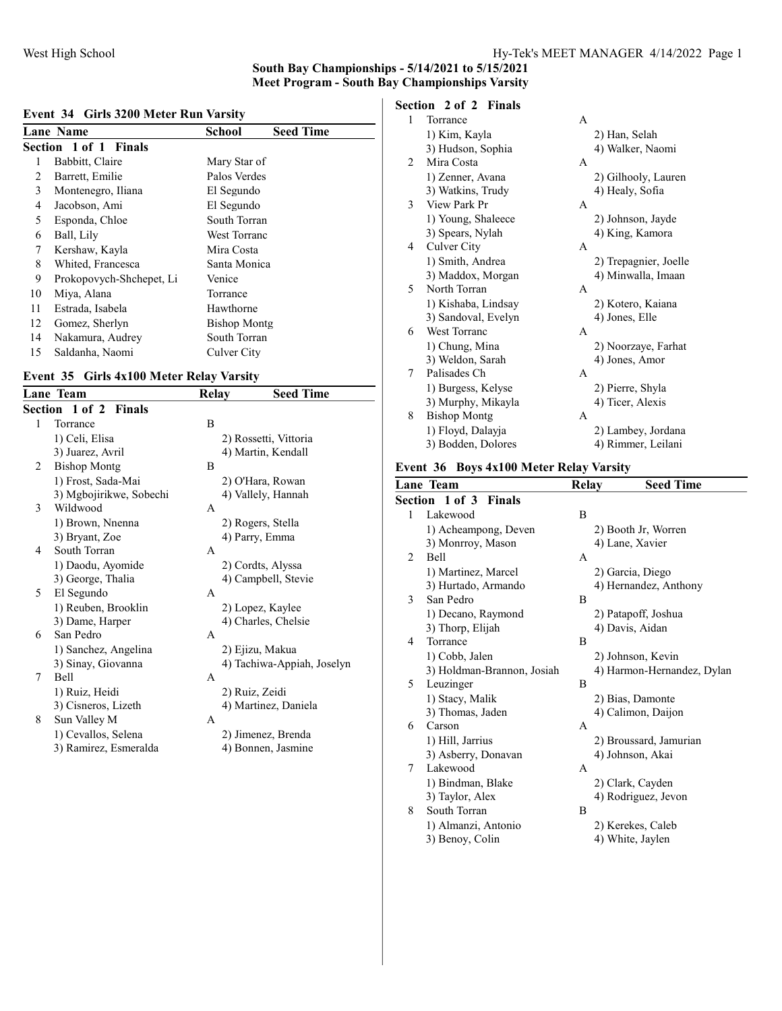# South Bay Championships - 5/14/2021 to 5/15/2021

Meet Program - South Bay Championships Varsity

#### Event 34 Girls 3200 Meter Run Varsity

|    | <b>Lane Name</b>         | <b>School</b>       | <b>Seed Time</b> |
|----|--------------------------|---------------------|------------------|
|    | Section 1 of 1 Finals    |                     |                  |
|    | Babbitt, Claire          | Mary Star of        |                  |
| 2  | Barrett, Emilie          | Palos Verdes        |                  |
| 3  | Montenegro, Iliana       | El Segundo          |                  |
| 4  | Jacobson, Ami            | El Segundo          |                  |
| 5  | Esponda, Chloe           | South Torran        |                  |
| 6  | Ball, Lily               | <b>West Torranc</b> |                  |
| 7  | Kershaw, Kayla           | Mira Costa          |                  |
| 8  | Whited, Francesca        | Santa Monica        |                  |
| 9  | Prokopovych-Shchepet, Li | Venice              |                  |
| 10 | Miya, Alana              | Torrance            |                  |
| 11 | Estrada, Isabela         | Hawthorne           |                  |
| 12 | Gomez, Sherlyn           | <b>Bishop Montg</b> |                  |
| 14 | Nakamura, Audrey         | South Torran        |                  |
| 15 | Saldanha, Naomi          | Culver City         |                  |

#### Event 35 Girls 4x100 Meter Relay Varsity

|   | Lane Team                    | Relay        | <b>Seed Time</b>           |
|---|------------------------------|--------------|----------------------------|
|   | <b>Section 1 of 2 Finals</b> |              |                            |
| 1 | Torrance                     | B            |                            |
|   | 1) Celi, Elisa               |              | 2) Rossetti, Vittoria      |
|   | 3) Juarez, Avril             |              | 4) Martin, Kendall         |
| 2 | <b>Bishop Montg</b>          | B            |                            |
|   | 1) Frost, Sada-Mai           |              | 2) O'Hara, Rowan           |
|   | 3) Mgbojirikwe, Sobechi      |              | 4) Vallely, Hannah         |
| 3 | Wildwood                     | A            |                            |
|   | 1) Brown, Nnenna             |              | 2) Rogers, Stella          |
|   | 3) Bryant, Zoe               |              | 4) Parry, Emma             |
| 4 | South Torran                 | A            |                            |
|   | 1) Daodu, Ayomide            |              | 2) Cordts, Alyssa          |
|   | 3) George, Thalia            |              | 4) Campbell, Stevie        |
| 5 | El Segundo                   | A            |                            |
|   | 1) Reuben, Brooklin          |              | 2) Lopez, Kaylee           |
|   | 3) Dame, Harper              |              | 4) Charles, Chelsie        |
| 6 | San Pedro                    | $\mathsf{A}$ |                            |
|   | 1) Sanchez, Angelina         |              | 2) Ejizu, Makua            |
|   | 3) Sinay, Giovanna           |              | 4) Tachiwa-Appiah, Joselyn |
| 7 | Bell                         | $\mathsf{A}$ |                            |
|   | 1) Ruiz, Heidi               |              | 2) Ruiz, Zeidi             |
|   | 3) Cisneros, Lizeth          |              | 4) Martinez, Daniela       |
| 8 | Sun Valley M                 | A            |                            |
|   | 1) Cevallos, Selena          |              | 2) Jimenez, Brenda         |
|   | 3) Ramirez, Esmeralda        |              | 4) Bonnen, Jasmine         |
|   |                              |              |                            |

# Section 2 of 2 Finals

| 1 | Torrance            | A |                       |
|---|---------------------|---|-----------------------|
|   | 1) Kim, Kayla       |   | 2) Han, Selah         |
|   | 3) Hudson, Sophia   |   | 4) Walker, Naomi      |
| 2 | Mira Costa          | A |                       |
|   | 1) Zenner, Avana    |   | 2) Gilhooly, Lauren   |
|   | 3) Watkins, Trudy   |   | 4) Healy, Sofia       |
| 3 | View Park Pr        | A |                       |
|   | 1) Young, Shaleece  |   | 2) Johnson, Jayde     |
|   | 3) Spears, Nylah    |   | 4) King, Kamora       |
| 4 | Culver City         | A |                       |
|   | 1) Smith, Andrea    |   | 2) Trepagnier, Joelle |
|   | 3) Maddox, Morgan   |   | 4) Minwalla, Imaan    |
| 5 | North Torran        | A |                       |
|   | 1) Kishaba, Lindsay |   | 2) Kotero, Kaiana     |
|   | 3) Sandoval, Evelyn |   | 4) Jones, Elle        |
| 6 | West Torranc        | A |                       |
|   | 1) Chung, Mina      |   | 2) Noorzaye, Farhat   |
|   | 3) Weldon, Sarah    |   | 4) Jones, Amor        |
| 7 | Palisades Ch        | A |                       |
|   | 1) Burgess, Kelyse  |   | 2) Pierre, Shyla      |
|   | 3) Murphy, Mikayla  |   | 4) Ticer, Alexis      |
| 8 | <b>Bishop Montg</b> | A |                       |
|   | 1) Floyd, Dalayja   |   | 2) Lambey, Jordana    |
|   | 3) Bodden, Dolores  |   | 4) Rimmer, Leilani    |

#### Event 36 Boys 4x100 Meter Relay Varsity

|              | Lane Team                       | <b>Relay</b> | <b>Seed Time</b>           |
|--------------|---------------------------------|--------------|----------------------------|
|              | Section 1 of 3<br><b>Finals</b> |              |                            |
| $\mathbf{1}$ | Lakewood                        | B            |                            |
|              | 1) Acheampong, Deven            |              | 2) Booth Jr, Worren        |
|              | 3) Monrroy, Mason               |              | 4) Lane, Xavier            |
| 2            | Bell                            | A            |                            |
|              | 1) Martinez, Marcel             |              | 2) Garcia, Diego           |
|              | 3) Hurtado, Armando             |              | 4) Hernandez, Anthony      |
| 3            | San Pedro                       | B            |                            |
|              | 1) Decano, Raymond              |              | 2) Patapoff, Joshua        |
|              | 3) Thorp, Elijah                |              | 4) Davis, Aidan            |
| 4            | Torrance                        | B            |                            |
|              | 1) Cobb, Jalen                  |              | 2) Johnson, Kevin          |
|              | 3) Holdman-Brannon, Josiah      |              | 4) Harmon-Hernandez, Dylan |
| 5            | Leuzinger                       | B            |                            |
|              | 1) Stacy, Malik                 |              | 2) Bias, Damonte           |
|              | 3) Thomas, Jaden                |              | 4) Calimon, Daijon         |
| 6            | Carson                          | A            |                            |
|              | 1) Hill, Jarrius                |              | 2) Broussard, Jamurian     |
|              | 3) Asberry, Donavan             |              | 4) Johnson, Akai           |
| 7            | Lakewood                        | A            |                            |
|              | 1) Bindman, Blake               |              | 2) Clark, Cayden           |
|              | 3) Taylor, Alex                 |              | 4) Rodriguez, Jevon        |
| 8            | South Torran                    | B            |                            |
|              | 1) Almanzi, Antonio             |              | 2) Kerekes, Caleb          |
|              | 3) Benoy, Colin                 |              | 4) White, Jaylen           |
|              |                                 |              |                            |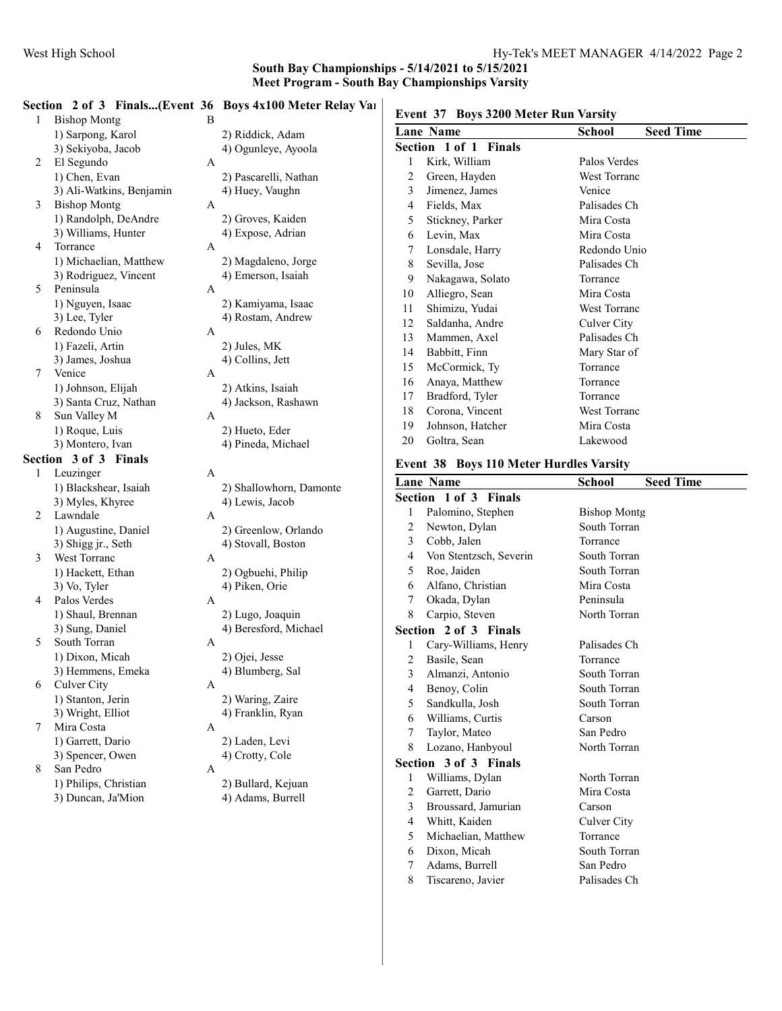#### Section 2 of 3 Finals...(Event 36 Boys 4x100 Meter Relay Varsity) 1 Bishop Montg B 1) Sarpong, Karol 2) Riddick, Adam 3) Sekiyoba, Jacob 4) Ogunleye, Ayoola 2 El Segundo A 1) Chen, Evan 2) Pascarelli, Nathan 3) Ali-Watkins, Benjamin 4) Huey, Vaughn 3 Bishop Montg A 1) Randolph, DeAndre 2) Groves, Kaiden<br>3) Williams, Hunter 4) Expose, Adrian 4) Expose, Adrian 4 Torrance A 1) Michaelian, Matthew 2) Magdaleno, Jorge 3) Rodriguez, Vincent 4) Emerson, Isaiah 5 Peninsula A 1) Nguyen, Isaac 2) Kamiyama, Isaac 3) Lee, Tyler 4) Rostam, Andrew 6 Redondo Unio A 1) Fazeli, Artin 2) Jules, MK 3) James, Joshua 4) Collins, Jett 7 Venice A 1) Johnson, Elijah 2) Atkins, Isaiah 3) Santa Cruz, Nathan 4) Jackson, Rashawn 8 Sun Valley M A 1) Roque, Luis 2) Hueto, Eder 3) Montero, Ivan 4) Pineda, Michael Section 3 of 3 Finals 1 Leuzinger A 1) Blackshear, Isaiah 2) Shallowhorn, Damonte 3) Myles, Khyree 4) Lewis, Jacob 2 Lawndale A 1) Augustine, Daniel 2) Greenlow, Orlando<br>3) Shigg jr., Seth 4) Stovall, Boston 4) Stovall, Boston 3 West Torranc A 1) Hackett, Ethan 2) Ogbuehi, Philip 3) Vo, Tyler 4) Piken, Orie 4 Palos Verdes A 1) Shaul, Brennan 2) Lugo, Joaquin 3) Sung, Daniel 4) Beresford, Michael 5 South Torran A 1) Dixon, Micah 2) Ojei, Jesse 3) Hemmens, Emeka 4) Blumberg, Sal 6 Culver City A 1) Stanton, Jerin 2) Waring, Zaire 3) Wright, Elliot 4) Franklin, Ryan 7 Mira Costa A 1) Garrett, Dario 2) Laden, Levi 3) Spencer, Owen 4) Crotty, Cole 8 San Pedro A 1) Philips, Christian 2) Bullard, Kejuan

# 3) Duncan, Ja'Mion 4) Adams, Burrell

| Event 37 Boys 3200 Meter Run Varsity |          |
|--------------------------------------|----------|
| Lane Name                            | School   |
| Section 1 of 1 Finals                |          |
| 1 Kirk, William                      | Palos Ve |
| 2 Green, Hayden                      | West To  |
|                                      |          |

# School Seed Time Palos Verdes West Torranc

| 3  | Jimenez, James   | Venice       |
|----|------------------|--------------|
| 4  | Fields, Max      | Palisades Ch |
| 5  | Stickney, Parker | Mira Costa   |
| 6  | Levin, Max       | Mira Costa   |
| 7  | Lonsdale, Harry  | Redondo Unio |
| 8  | Sevilla, Jose    | Palisades Ch |
| 9  | Nakagawa, Solato | Torrance     |
| 10 | Alliegro, Sean   | Mira Costa   |
| 11 | Shimizu, Yudai   | West Torranc |
| 12 | Saldanha, Andre  | Culver City  |
| 13 | Mammen, Axel     | Palisades Ch |
| 14 | Babbitt, Finn    | Mary Star of |
| 15 | McCormick, Ty    | Torrance     |
| 16 | Anaya, Matthew   | Torrance     |
| 17 | Bradford, Tyler  | Torrance     |
| 18 | Corona, Vincent  | West Torranc |
| 19 | Johnson, Hatcher | Mira Costa   |
| 20 | Goltra, Sean     | Lakewood     |

#### Event 38 Boys 110 Meter Hurdles Varsity

|                | <b>Lane Name</b>       | <b>Seed Time</b><br><b>School</b> |
|----------------|------------------------|-----------------------------------|
|                | Section 1 of 3 Finals  |                                   |
| 1              | Palomino, Stephen      | <b>Bishop Montg</b>               |
| 2              | Newton, Dylan          | South Torran                      |
| 3              | Cobb, Jalen            | Torrance                          |
| 4              | Von Stentzsch, Severin | South Torran                      |
| 5              | Roe, Jaiden            | South Torran                      |
| 6              | Alfano, Christian      | Mira Costa                        |
| 7              | Okada, Dylan           | Peninsula                         |
| 8              | Carpio, Steven         | North Torran                      |
|                | Section 2 of 3 Finals  |                                   |
| 1              | Cary-Williams, Henry   | Palisades Ch                      |
| $\overline{2}$ | Basile, Sean           | Torrance                          |
| 3              | Almanzi, Antonio       | South Torran                      |
| 4              | Benoy, Colin           | South Torran                      |
| 5              | Sandkulla, Josh        | South Torran                      |
| 6              | Williams, Curtis       | Carson                            |
| 7              | Taylor, Mateo          | San Pedro                         |
| 8              | Lozano, Hanbyoul       | North Torran                      |
|                | Section 3 of 3 Finals  |                                   |
| 1              | Williams, Dylan        | North Torran                      |
| 2              | Garrett, Dario         | Mira Costa                        |
| 3              | Broussard, Jamurian    | Carson                            |
| 4              | Whitt, Kaiden          | Culver City                       |
| 5              | Michaelian, Matthew    | Torrance                          |
| 6              | Dixon, Micah           | South Torran                      |
| 7              | Adams, Burrell         | San Pedro                         |
| 8              | Tiscareno, Javier      | Palisades Ch                      |
|                |                        |                                   |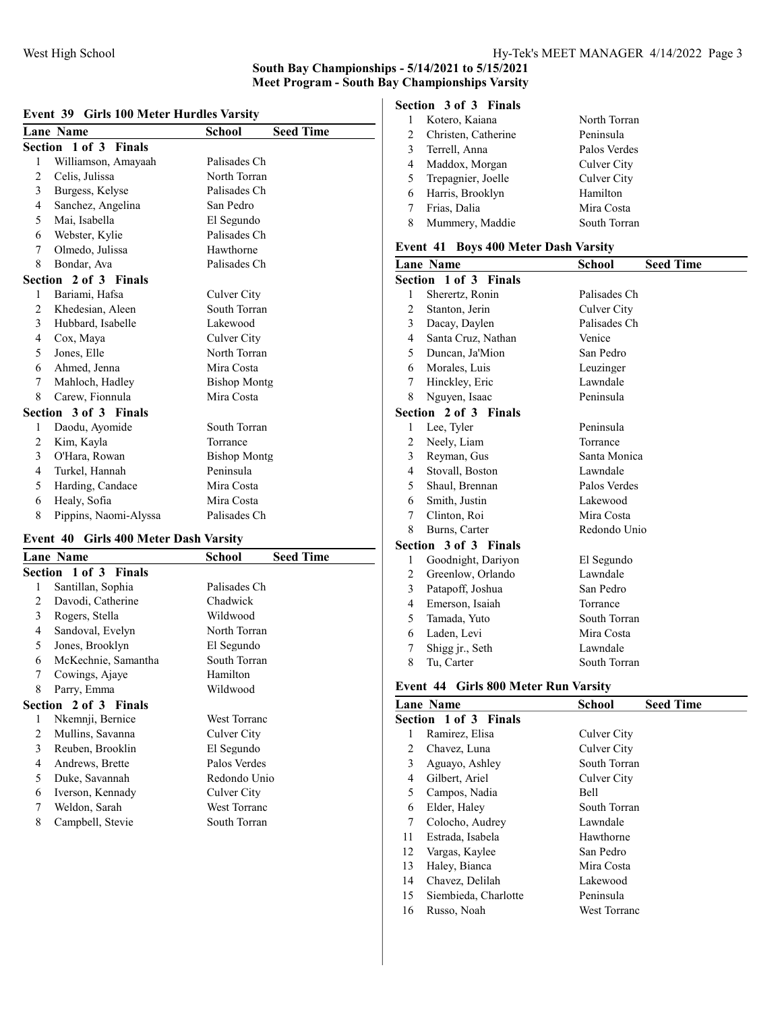| Event 39 Girls 100 Meter Hurdles Varsity |  |  |  |
|------------------------------------------|--|--|--|
|                                          |  |  |  |

|   | <b>Lane Name</b>      | <b>School</b>       | <b>Seed Time</b> |
|---|-----------------------|---------------------|------------------|
|   | Section 1 of 3 Finals |                     |                  |
| 1 | Williamson, Amayaah   | Palisades Ch        |                  |
| 2 | Celis, Julissa        | North Torran        |                  |
| 3 | Burgess, Kelyse       | Palisades Ch        |                  |
| 4 | Sanchez, Angelina     | San Pedro           |                  |
| 5 | Mai, Isabella         | El Segundo          |                  |
| 6 | Webster, Kylie        | Palisades Ch        |                  |
| 7 | Olmedo, Julissa       | Hawthorne           |                  |
| 8 | Bondar, Ava           | Palisades Ch        |                  |
|   | Section 2 of 3 Finals |                     |                  |
| 1 | Bariami, Hafsa        | Culver City         |                  |
| 2 | Khedesian, Aleen      | South Torran        |                  |
| 3 | Hubbard, Isabelle     | Lakewood            |                  |
| 4 | Cox, Maya             | Culver City         |                  |
| 5 | Jones, Elle           | North Torran        |                  |
| 6 | Ahmed, Jenna          | Mira Costa          |                  |
| 7 | Mahloch, Hadley       | <b>Bishop Montg</b> |                  |
| 8 | Carew, Fionnula       | Mira Costa          |                  |
|   | Section 3 of 3 Finals |                     |                  |
| 1 | Daodu, Ayomide        | South Torran        |                  |
| 2 | Kim, Kayla            | Torrance            |                  |
| 3 | O'Hara, Rowan         | <b>Bishop Montg</b> |                  |
| 4 | Turkel, Hannah        | Peninsula           |                  |
| 5 | Harding, Candace      | Mira Costa          |                  |
| 6 | Healy, Sofia          | Mira Costa          |                  |
| 8 | Pippins, Naomi-Alyssa | Palisades Ch        |                  |

#### Event 40 Girls 400 Meter Dash Varsity

|   | <b>Lane Name</b>             | <b>School</b>       | <b>Seed Time</b> |
|---|------------------------------|---------------------|------------------|
|   | <b>Section 1 of 3 Finals</b> |                     |                  |
| 1 | Santillan, Sophia            | Palisades Ch        |                  |
| 2 | Davodi, Catherine            | Chadwick            |                  |
| 3 | Rogers, Stella               | Wildwood            |                  |
| 4 | Sandoval, Evelyn             | North Torran        |                  |
| 5 | Jones, Brooklyn              | El Segundo          |                  |
| 6 | McKechnie, Samantha          | South Torran        |                  |
| 7 | Cowings, Ajaye               | Hamilton            |                  |
| 8 | Parry, Emma                  | Wildwood            |                  |
|   | Section 2 of 3 Finals        |                     |                  |
| 1 | Nkemnji, Bernice             | West Torranc        |                  |
| 2 | Mullins, Savanna             | Culver City         |                  |
| 3 | Reuben, Brooklin             | El Segundo          |                  |
| 4 | Andrews, Brette              | Palos Verdes        |                  |
| 5 | Duke, Savannah               | Redondo Unio        |                  |
| 6 | Iverson, Kennady             | Culver City         |                  |
| 7 | Weldon, Sarah                | <b>West Torranc</b> |                  |
| 8 | Campbell, Stevie             | South Torran        |                  |
|   |                              |                     |                  |

# Section 3 of 3 Finals

|   | Kotero, Kaiana      | North Torran |
|---|---------------------|--------------|
| 2 | Christen, Catherine | Peninsula    |
| 3 | Terrell, Anna       | Palos Verdes |
| 4 | Maddox, Morgan      | Culver City  |
| 5 | Trepagnier, Joelle  | Culver City  |
| 6 | Harris, Brooklyn    | Hamilton     |
| 7 | Frias, Dalia        | Mira Costa   |
| 8 | Mummery, Maddie     | South Torran |
|   |                     |              |

#### Event 41 Boys 400 Meter Dash Varsity

|                | <b>Lane Name</b>      | <b>Seed Time</b><br>School |
|----------------|-----------------------|----------------------------|
|                | Section 1 of 3 Finals |                            |
| 1              | Sherertz, Ronin       | Palisades Ch               |
| $\overline{2}$ | Stanton, Jerin        | Culver City                |
| 3              | Dacay, Daylen         | Palisades Ch               |
| 4              | Santa Cruz, Nathan    | Venice                     |
| 5              | Duncan, Ja'Mion       | San Pedro                  |
| 6              | Morales, Luis         | Leuzinger                  |
| 7              | Hinckley, Eric        | Lawndale                   |
| 8              | Nguyen, Isaac         | Peninsula                  |
|                | Section 2 of 3 Finals |                            |
| 1              | Lee, Tyler            | Peninsula                  |
| 2              | Neely, Liam           | Torrance                   |
| 3              | Reyman, Gus           | Santa Monica               |
| 4              | Stovall, Boston       | Lawndale                   |
| 5              | Shaul, Brennan        | Palos Verdes               |
| 6              | Smith, Justin         | Lakewood                   |
| 7              | Clinton, Roi          | Mira Costa                 |
| 8              | Burns, Carter         | Redondo Unio               |
|                | Section 3 of 3 Finals |                            |
| 1              | Goodnight, Dariyon    | El Segundo                 |
| 2              | Greenlow, Orlando     | Lawndale                   |
| 3              | Patapoff, Joshua      | San Pedro                  |
| 4              | Emerson, Isaiah       | Torrance                   |
| 5              | Tamada, Yuto          | South Torran               |
| 6              | Laden, Levi           | Mira Costa                 |
| 7              | Shigg jr., Seth       | Lawndale                   |
| 8              | Tu, Carter            | South Torran               |

#### Event 44 Girls 800 Meter Run Varsity

|                      | School                                    | <b>Seed Time</b>             |
|----------------------|-------------------------------------------|------------------------------|
|                      |                                           |                              |
| Ramirez, Elisa       | Culver City                               |                              |
| Chavez, Luna         | Culver City                               |                              |
| Aguayo, Ashley       |                                           |                              |
| Gilbert, Ariel       | Culver City                               |                              |
| Campos, Nadia        | Bell                                      |                              |
| Elder, Haley         | South Torran                              |                              |
| Colocho, Audrey      | Lawndale                                  |                              |
| Estrada, Isabela     | Hawthorne                                 |                              |
| Vargas, Kaylee       | San Pedro                                 |                              |
| Haley, Bianca        | Mira Costa                                |                              |
| Chavez, Delilah      | Lakewood                                  |                              |
| Siembieda, Charlotte | Peninsula                                 |                              |
| Russo, Noah          |                                           |                              |
|                      | <b>Lane Name</b><br>Section 1 of 3 Finals | South Torran<br>West Torranc |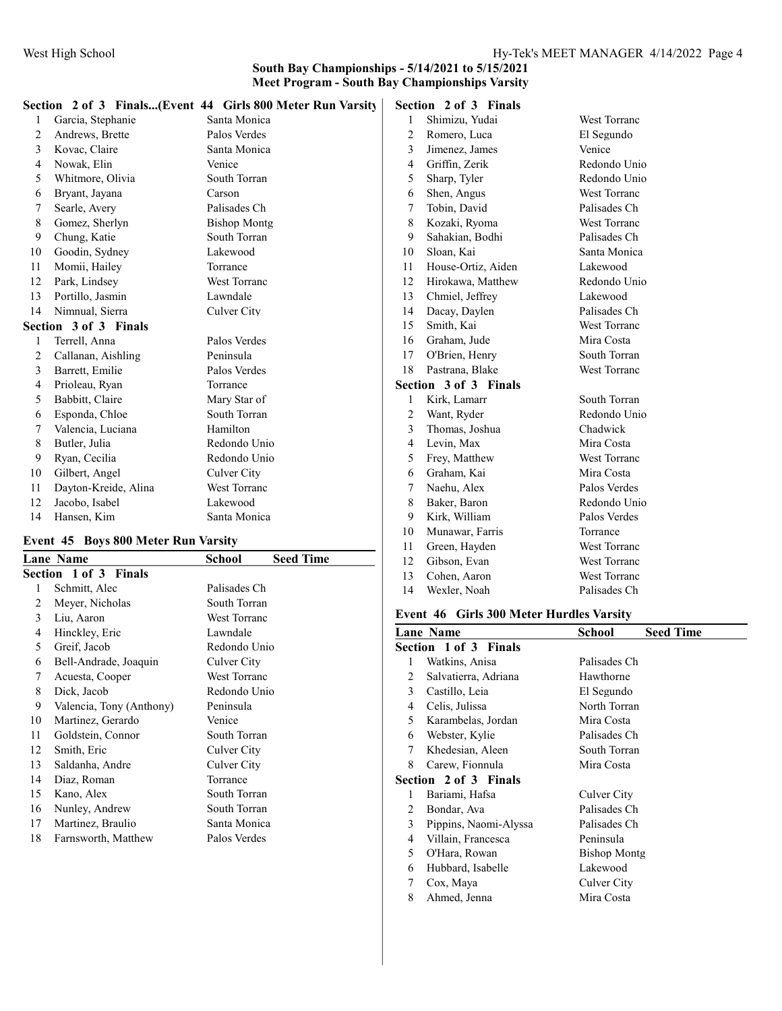|                |                       | Section 2 of 3 Finals(Event 44 Girls 800 Meter Run Varsity |    | Section 2 of 3 Finals |              |
|----------------|-----------------------|------------------------------------------------------------|----|-----------------------|--------------|
|                | Garcia, Stephanie     | Santa Monica                                               |    | Shimizu, Yudai        | West Torranc |
| $\overline{2}$ | Andrews, Brette       | Palos Verdes                                               | 2  | Romero, Luca          | El Segundo   |
| 3              | Kovac, Claire         | Santa Monica                                               | 3  | Jimenez, James        | Venice       |
| 4              | Nowak, Elin           | Venice                                                     | 4  | Griffin, Zerik        | Redondo Unio |
| 5              | Whitmore, Olivia      | South Torran                                               | 5  | Sharp, Tyler          | Redondo Unio |
| 6              | Bryant, Jayana        | Carson                                                     | 6  | Shen, Angus           | West Torranc |
| 7              | Searle, Avery         | Palisades Ch                                               |    | Tobin, David          | Palisades Ch |
| 8              | Gomez, Sherlyn        | <b>Bishop Montg</b>                                        | 8  | Kozaki, Ryoma         | West Torranc |
| 9              | Chung, Katie          | South Torran                                               | 9  | Sahakian, Bodhi       | Palisades Ch |
| 10             | Goodin, Sydney        | Lakewood                                                   | 10 | Sloan, Kai            | Santa Monica |
| 11             | Momii, Hailey         | Torrance                                                   | 11 | House-Ortiz, Aiden    | Lakewood     |
| 12             | Park, Lindsey         | West Torranc                                               | 12 | Hirokawa, Matthew     | Redondo Unio |
| 13             | Portillo, Jasmin      | Lawndale                                                   | 13 | Chmiel, Jeffrey       | Lakewood     |
| 14             | Nimnual, Sierra       | Culver City                                                | 14 | Dacay, Daylen         | Palisades Ch |
|                | Section 3 of 3 Finals |                                                            | 15 | Smith, Kai            | West Torranc |
|                | Terrell, Anna         | Palos Verdes                                               | 16 | Graham, Jude          | Mira Costa   |
| 2              | Callanan, Aishling    | Peninsula                                                  | 17 | O'Brien, Henry        | South Torran |
| 3              | Barrett, Emilie       | Palos Verdes                                               | 18 | Pastrana, Blake       | West Torranc |
| 4              | Prioleau, Ryan        | Torrance                                                   |    | Section 3 of 3 Finals |              |
| 5              | Babbitt, Claire       | Mary Star of                                               |    | Kirk, Lamarr          | South Torran |
| 6              | Esponda, Chloe        | South Torran                                               | 2  | Want, Ryder           | Redondo Unio |
| 7              | Valencia, Luciana     | Hamilton                                                   | 3  | Thomas, Joshua        | Chadwick     |
| 8              | Butler, Julia         | Redondo Unio                                               | 4  | Levin, Max            | Mira Costa   |
| 9              | Ryan, Cecilia         | Redondo Unio                                               | 5  | Frey, Matthew         | West Torranc |
| 10             | Gilbert, Angel        | Culver City                                                | 6  | Graham, Kai           | Mira Costa   |
| 11             | Dayton-Kreide, Alina  | <b>West Torranc</b>                                        |    | Naehu, Alex           | Palos Verdes |
| 12             | Jacobo, Isabel        | Lakewood                                                   | 8  | Baker, Baron          | Redondo Unio |
| 14             | Hansen, Kim           | Santa Monica                                               | 9  | Kirk, William         | Palos Verdes |
|                |                       |                                                            |    |                       |              |

#### Event 45 Boys 800 Meter Run Varsity

|    | <b>Lane Name</b>         | School              | <b>Seed Time</b> |
|----|--------------------------|---------------------|------------------|
|    | Section 1 of 3 Finals    |                     |                  |
| 1  | Schmitt, Alec            | Palisades Ch        |                  |
| 2  | Meyer, Nicholas          | South Torran        |                  |
| 3  | Liu, Aaron               | <b>West Torranc</b> |                  |
| 4  | Hinckley, Eric           | Lawndale            |                  |
| 5  | Greif, Jacob             | Redondo Unio        |                  |
| 6  | Bell-Andrade, Joaquin    | Culver City         |                  |
| 7  | Acuesta, Cooper          | <b>West Torranc</b> |                  |
| 8  | Dick, Jacob              | Redondo Unio        |                  |
| 9  | Valencia, Tony (Anthony) | Peninsula           |                  |
| 10 | Martinez, Gerardo        | Venice              |                  |
| 11 | Goldstein, Connor        | South Torran        |                  |
| 12 | Smith, Eric              | Culver City         |                  |
| 13 | Saldanha, Andre          | Culver City         |                  |
| 14 | Diaz, Roman              | Torrance            |                  |
| 15 | Kano, Alex               | South Torran        |                  |
| 16 | Nunley, Andrew           | South Torran        |                  |
| 17 | Martinez, Braulio        | Santa Monica        |                  |
| 18 | Farnsworth, Matthew      | Palos Verdes        |                  |
|    |                          |                     |                  |

| Kozaki, Ryoma         | West Torranc |
|-----------------------|--------------|
| Sahakian, Bodhi       | Palisades Ch |
| Sloan, Kai            | Santa Monica |
| House-Ortiz, Aiden    | Lakewood     |
| Hirokawa, Matthew     | Redondo Uni  |
| Chmiel, Jeffrey       | Lakewood     |
| Dacay, Daylen         | Palisades Ch |
| Smith, Kai            | West Torranc |
| Graham, Jude          | Mira Costa   |
| O'Brien, Henry        | South Torran |
| Pastrana, Blake       | West Torranc |
| Section 3 of 3 Finals |              |
| Kirk, Lamarr          | South Torran |
| Want, Ryder           | Redondo Uni  |
| Thomas, Joshua        | Chadwick     |
| Levin, Max            | Mira Costa   |
| Frey, Matthew         | West Torranc |
| Graham, Kai           | Mira Costa   |
| Naehu, Alex           | Palos Verdes |
| Baker, Baron          | Redondo Uni  |
|                       |              |
| Kirk, William         | Palos Verdes |
| Munawar, Farris       | Torrance     |
|                       |              |

#### Event 46 Girls 300 Meter Hurdles Varsity

12 Gibson, Evan West Torranc Cohen, Aaron West Torranc Wexler, Noah Palisades Ch

|   | <b>Lane Name</b>      | School              | <b>Seed Time</b> |
|---|-----------------------|---------------------|------------------|
|   | Section 1 of 3 Finals |                     |                  |
| 1 | Watkins, Anisa        | Palisades Ch        |                  |
| 2 | Salvatierra, Adriana  | Hawthorne           |                  |
| 3 | Castillo, Leia        | El Segundo          |                  |
| 4 | Celis, Julissa        | North Torran        |                  |
| 5 | Karambelas, Jordan    | Mira Costa          |                  |
| 6 | Webster, Kylie        | Palisades Ch        |                  |
| 7 | Khedesian, Aleen      | South Torran        |                  |
| 8 | Carew, Fionnula       | Mira Costa          |                  |
|   | Section 2 of 3 Finals |                     |                  |
| 1 | Bariami, Hafsa        | Culver City         |                  |
| 2 | Bondar, Ava           | Palisades Ch        |                  |
| 3 | Pippins, Naomi-Alyssa | Palisades Ch        |                  |
| 4 | Villain, Francesca    | Peninsula           |                  |
| 5 | O'Hara, Rowan         | <b>Bishop Montg</b> |                  |
| 6 | Hubbard, Isabelle     | Lakewood            |                  |
| 7 | Cox, Maya             | Culver City         |                  |
| 8 | Ahmed, Jenna          | Mira Costa          |                  |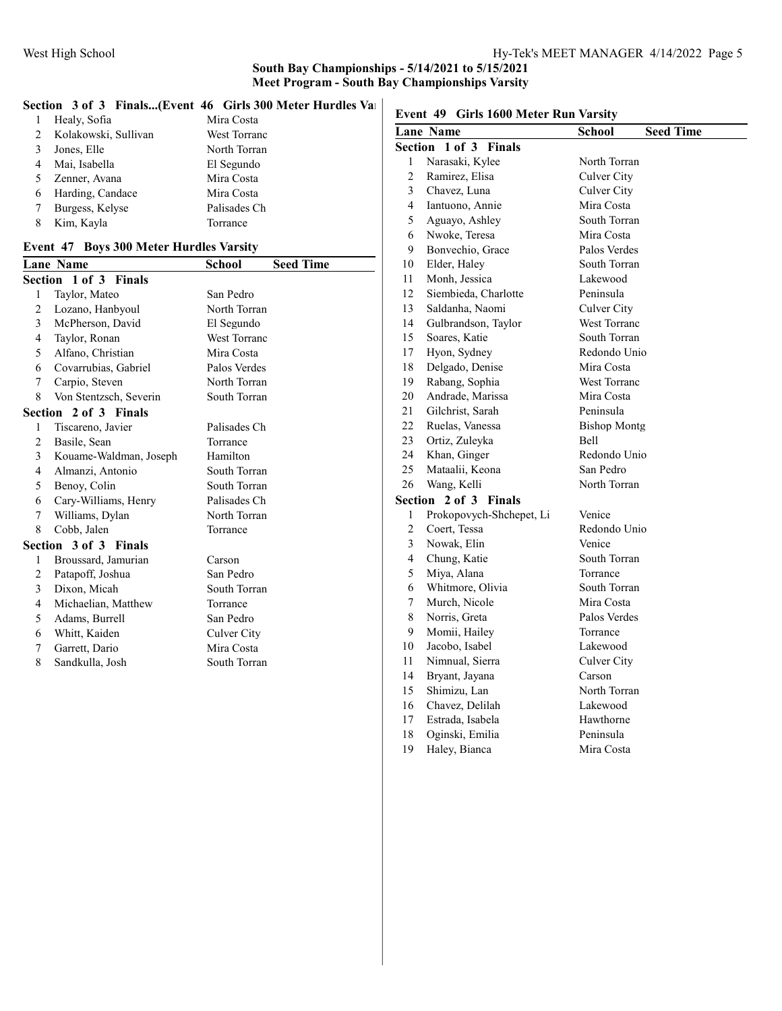#### Section 3 of 3 Finals...(Event 46 Girls 300 Meter Hurdles Varsity)

|   |                      | ленон с от с тимиям пусне по сонизовознени напанея так |                                       |               |
|---|----------------------|--------------------------------------------------------|---------------------------------------|---------------|
|   | Healy, Sofia         | Mira Costa                                             | Event 49 Girls 1600 Meter Run Varsity |               |
| 2 | Kolakowski, Sullivan | West Torranc                                           | Lane Name                             | <b>School</b> |
|   | Jones, Elle          | North Torran                                           | Section 1 of 3 Finals                 |               |
|   | Mai, Isabella        | El Segundo                                             | Narasaki, Kylee                       | North To      |
|   | Zenner, Avana        | Mira Costa                                             | Ramirez, Elisa                        | Culver C      |
| 6 | Harding, Candace     | Mira Costa                                             | Chavez, Luna                          | Culver C      |
|   | Burgess, Kelyse      | Palisades Ch                                           | Iantuono, Annie<br>4                  | Mira Co       |
|   | Kim, Kayla           | Torrance                                               | Aguayo, Ashley                        | South To      |
|   |                      |                                                        |                                       |               |

#### Event 47 Boys 300 Meter Hurdles Varsity

|   | Lane Name              | School              | <b>Seed Time</b> |
|---|------------------------|---------------------|------------------|
|   | Section 1 of 3 Finals  |                     |                  |
| 1 | Taylor, Mateo          | San Pedro           |                  |
| 2 | Lozano, Hanbyoul       | North Torran        |                  |
| 3 | McPherson, David       | El Segundo          |                  |
| 4 | Taylor, Ronan          | <b>West Torranc</b> |                  |
| 5 | Alfano, Christian      | Mira Costa          |                  |
| 6 | Covarrubias, Gabriel   | Palos Verdes        |                  |
| 7 | Carpio, Steven         | North Torran        |                  |
| 8 | Von Stentzsch, Severin | South Torran        |                  |
|   | Section 2 of 3 Finals  |                     |                  |
| 1 | Tiscareno, Javier      | Palisades Ch        |                  |
| 2 | Basile, Sean           | Torrance            |                  |
| 3 | Kouame-Waldman, Joseph | Hamilton            |                  |
| 4 | Almanzi, Antonio       | South Torran        |                  |
| 5 | Benoy, Colin           | South Torran        |                  |
| 6 | Cary-Williams, Henry   | Palisades Ch        |                  |
| 7 | Williams, Dylan        | North Torran        |                  |
| 8 | Cobb, Jalen            | Torrance            |                  |
|   | Section 3 of 3 Finals  |                     |                  |
| 1 | Broussard, Jamurian    | Carson              |                  |
| 2 | Patapoff, Joshua       | San Pedro           |                  |
| 3 | Dixon, Micah           | South Torran        |                  |
| 4 | Michaelian, Matthew    | Torrance            |                  |
| 5 | Adams, Burrell         | San Pedro           |                  |
| 6 | Whitt, Kaiden          | Culver City         |                  |
| 7 | Garrett, Dario         | Mira Costa          |                  |
| 8 | Sandkulla, Josh        | South Torran        |                  |
|   |                        |                     |                  |

|              | Lane Name                       | <b>Seed Time</b><br><b>School</b> |
|--------------|---------------------------------|-----------------------------------|
|              | Section 1 of 3<br><b>Finals</b> |                                   |
| 1            | Narasaki, Kylee                 | North Torran                      |
| 2            | Ramirez, Elisa                  | Culver City                       |
| 3            | Chavez, Luna                    | Culver City                       |
| 4            | Iantuono, Annie                 | Mira Costa                        |
| 5            | Aguayo, Ashley                  | South Torran                      |
| 6            | Nwoke, Teresa                   | Mira Costa                        |
| 9            | Bonvechio, Grace                | Palos Verdes                      |
| 10           | Elder, Haley                    | South Torran                      |
| 11           | Monh, Jessica                   | Lakewood                          |
| 12           | Siembieda, Charlotte            | Peninsula                         |
| 13           | Saldanha, Naomi                 | Culver City                       |
| 14           | Gulbrandson, Taylor             | West Torranc                      |
| 15           | Soares, Katie                   | South Torran                      |
| 17           | Hyon, Sydney                    | Redondo Unio                      |
| 18           | Delgado, Denise                 | Mira Costa                        |
| 19           | Rabang, Sophia                  | West Torranc                      |
| 20           | Andrade, Marissa                | Mira Costa                        |
| 21           | Gilchrist, Sarah                | Peninsula                         |
| 22           | Ruelas, Vanessa                 | <b>Bishop Montg</b>               |
| 23           | Ortiz, Zuleyka                  | <b>Bell</b>                       |
| 24           | Khan, Ginger                    | Redondo Unio                      |
| 25           | Mataalii, Keona                 | San Pedro                         |
| 26           | Wang, Kelli                     | North Torran                      |
|              | Section 2 of 3 Finals           |                                   |
| $\mathbf{1}$ | Prokopovych-Shchepet, Li        | Venice                            |
| 2            | Coert, Tessa                    | Redondo Unio                      |
| 3            | Nowak, Elin                     | Venice                            |
| 4            | Chung, Katie                    | South Torran                      |
| 5            | Miya, Alana                     | Torrance                          |
| 6            | Whitmore, Olivia                | South Torran                      |
| 7            | Murch, Nicole                   | Mira Costa                        |
| 8            | Norris, Greta                   | Palos Verdes                      |
| 9            | Momii, Hailey                   | Torrance                          |
| 10           | Jacobo, Isabel                  | Lakewood                          |
| 11           | Nimnual, Sierra                 | Culver City                       |
| 14           | Bryant, Jayana                  | Carson                            |
| 15           | Shimizu, Lan                    | North Torran                      |
| 16           | Chavez, Delilah                 | Lakewood                          |
| 17           | Estrada, Isabela                | Hawthorne                         |
| 18           | Oginski, Emilia                 | Peninsula                         |
| 19           | Haley, Bianca                   | Mira Costa                        |
|              |                                 |                                   |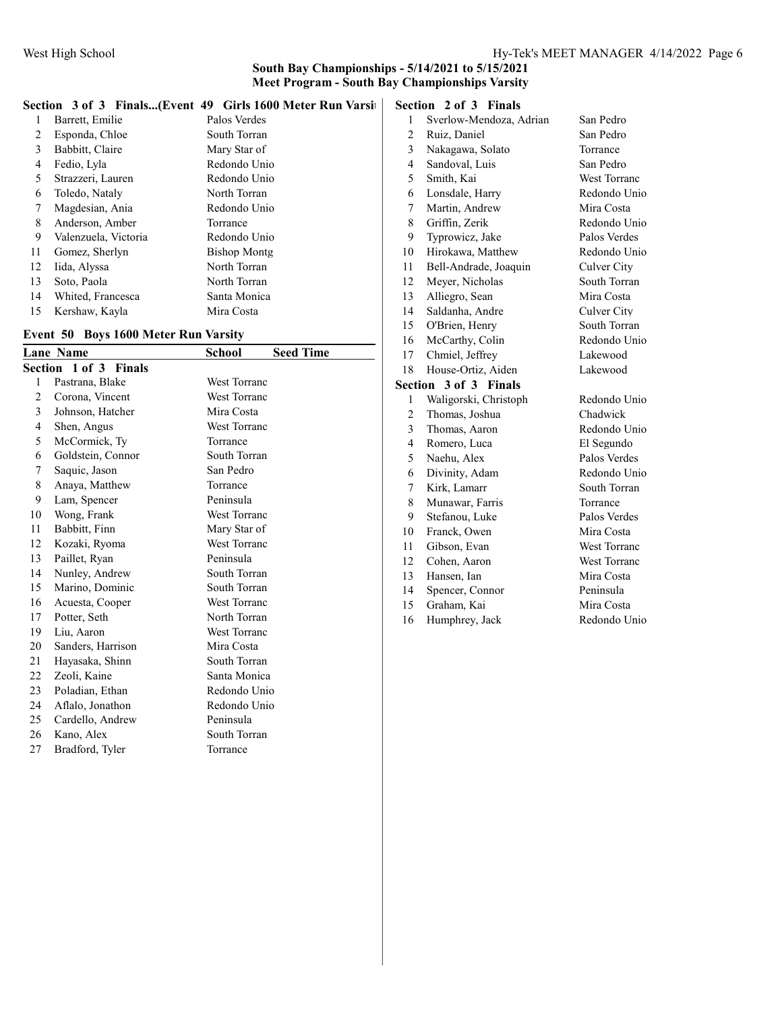#### Section 3 of 3 Finals...(Event 49 Girls 1600 Meter Run Varsity

| 1  | Barrett, Emilie      | Palos Verdes        |
|----|----------------------|---------------------|
| 2  | Esponda, Chloe       | South Torran        |
| 3  | Babbitt, Claire      | Mary Star of        |
| 4  | Fedio, Lyla          | Redondo Unio        |
| 5  | Strazzeri, Lauren    | Redondo Unio        |
| 6  | Toledo, Nataly       | North Torran        |
| 7  | Magdesian, Ania      | Redondo Unio        |
| 8  | Anderson, Amber      | Torrance            |
| 9  | Valenzuela, Victoria | Redondo Unio        |
| 11 | Gomez, Sherlyn       | <b>Bishop Montg</b> |
| 12 | Iida, Alyssa         | North Torran        |
| 13 | Soto, Paola          | North Torran        |
| 14 | Whited, Francesca    | Santa Monica        |
| 15 | Kershaw, Kayla       | Mira Costa          |

#### Event 50 Boys 1600 Meter Run Varsity

|                | <b>Lane Name</b>                | School              | <b>Seed Time</b> |
|----------------|---------------------------------|---------------------|------------------|
|                | Section 1 of 3<br><b>Finals</b> |                     |                  |
| 1              | Pastrana, Blake                 | <b>West Torranc</b> |                  |
| $\overline{2}$ | Corona, Vincent                 | West Torranc        |                  |
| 3              | Johnson, Hatcher                | Mira Costa          |                  |
| 4              | Shen, Angus                     | <b>West Torranc</b> |                  |
| 5              | McCormick, Ty                   | Torrance            |                  |
| 6              | Goldstein, Connor               | South Torran        |                  |
| 7              | Saquic, Jason                   | San Pedro           |                  |
| 8              | Anaya, Matthew                  | Torrance            |                  |
| 9              | Lam, Spencer                    | Peninsula           |                  |
| 10             | Wong, Frank                     | <b>West Torranc</b> |                  |
| 11             | Babbitt, Finn                   | Mary Star of        |                  |
| 12             | Kozaki, Ryoma                   | <b>West Torranc</b> |                  |
| 13             | Paillet, Ryan                   | Peninsula           |                  |
| 14             | Nunley, Andrew                  | South Torran        |                  |
| 15             | Marino, Dominic                 | South Torran        |                  |
| 16             | Acuesta, Cooper                 | <b>West Torranc</b> |                  |
| 17             | Potter, Seth                    | North Torran        |                  |
| 19             | Liu, Aaron                      | <b>West Torranc</b> |                  |
| 20             | Sanders, Harrison               | Mira Costa          |                  |
| 21             | Hayasaka, Shinn                 | South Torran        |                  |
| 22             | Zeoli, Kaine                    | Santa Monica        |                  |
| 23             | Poladian, Ethan                 | Redondo Unio        |                  |
| 24             | Aflalo, Jonathon                | Redondo Unio        |                  |
| 25             | Cardello, Andrew                | Peninsula           |                  |
| 26             | Kano, Alex                      | South Torran        |                  |
| 27             | Bradford, Tyler                 | Torrance            |                  |

## Section 2 of 3 Finals

| $\mathbf{1}$            | Sverlow-Mendoza, Adrian | San Pedro           |
|-------------------------|-------------------------|---------------------|
| $\overline{c}$          | Ruiz, Daniel            | San Pedro           |
| 3                       | Nakagawa, Solato        | Torrance            |
| $\overline{\mathbf{4}}$ | Sandoval, Luis          | San Pedro           |
| 5                       | Smith, Kai              | <b>West Torranc</b> |
| 6                       | Lonsdale, Harry         | Redondo Unio        |
| 7                       | Martin, Andrew          | Mira Costa          |
| 8                       | Griffin, Zerik          | Redondo Unio        |
| 9                       | Typrowicz, Jake         | Palos Verdes        |
| 10                      | Hirokawa, Matthew       | Redondo Unio        |
| 11                      | Bell-Andrade, Joaquin   | Culver City         |
| 12                      | Meyer, Nicholas         | South Torran        |
| 13                      | Alliegro, Sean          | Mira Costa          |
| 14                      | Saldanha, Andre         | <b>Culver City</b>  |
| 15                      | O'Brien, Henry          | South Torran        |
| 16                      | McCarthy, Colin         | Redondo Unio        |
| 17                      | Chmiel, Jeffrey         | Lakewood            |
| 18                      | House-Ortiz, Aiden      | Lakewood            |
| Section                 | 3 of 3 Finals           |                     |
| 1                       | Waligorski, Christoph   | Redondo Unio        |
| $\overline{c}$          | Thomas, Joshua          | Chadwick            |
| 3                       | Thomas, Aaron           | Redondo Unio        |
| $\overline{4}$          | Romero, Luca            | El Segundo          |
| 5                       | Naehu, Alex             | Palos Verdes        |
| 6                       | Divinity, Adam          | Redondo Unio        |
| 7                       | Kirk, Lamarr            | South Torran        |
| 8                       | Munawar, Farris         | Torrance            |
| 9                       | Stefanou, Luke          | Palos Verdes        |
| 10                      | Franck, Owen            | Mira Costa          |
| 11                      | Gibson, Evan            | <b>West Torranc</b> |
| 12                      | Cohen, Aaron            | <b>West Torranc</b> |
| 13                      | Hansen, Ian             | Mira Costa          |
| 14                      | Spencer, Connor         | Peninsula           |
| 15                      | Graham, Kai             | Mira Costa          |
| 16                      | Humphrey, Jack          | Redondo Unio        |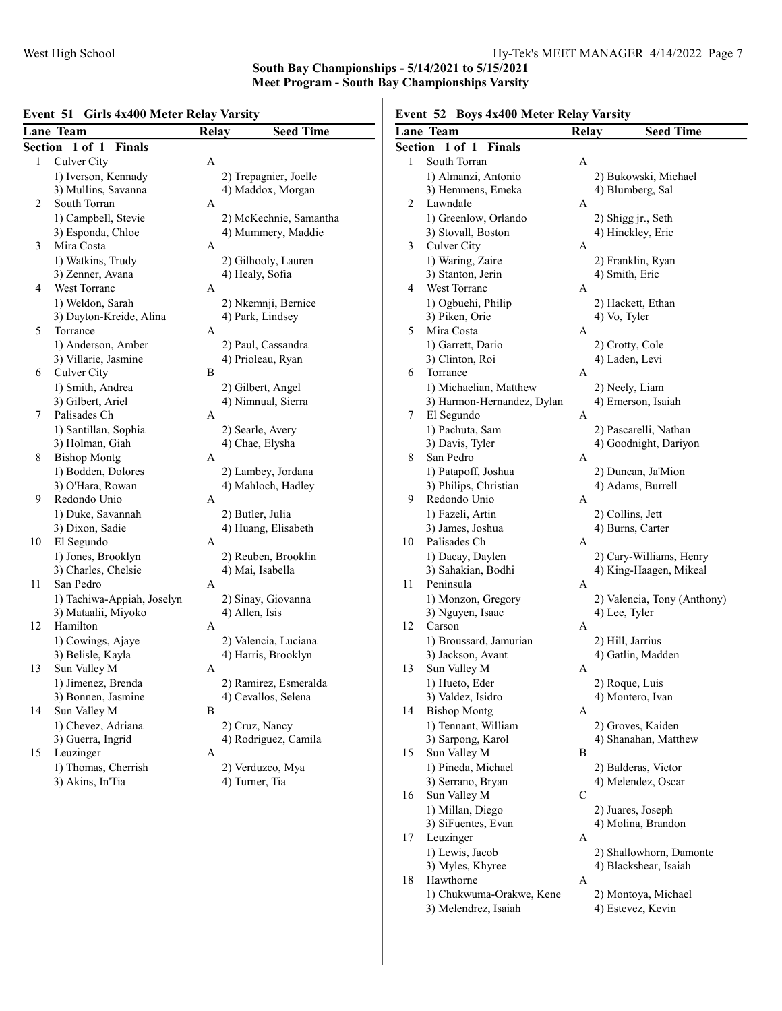#### Lane Team Relay Seed Time Section 1 of 1 Finals 1 Culver City A 1) Iverson, Kennady 2) Trepagnier, Joelle<br>
3) Mullins, Savanna 4) Maddox, Morgan 4) Maddox, Morgan 2 South Torran A 1) Campbell, Stevie 2) McKechnie, Samantha 3) Esponda, Chloe 4) Mummery, Maddie 3 Mira Costa A 1) Watkins, Trudy 2) Gilhooly, Lauren 3) Zenner, Avana (4) Healy, Sofia 4 West Torranc A 1) Weldon, Sarah 2) Nkemnji, Bernice 3) Dayton-Kreide, Alina 4) Park, Lindsey 5 Torrance A 1) Anderson, Amber 2) Paul, Cassandra 3) Villarie, Jasmine 4) Prioleau, Ryan Culver City 6 Culver City 1) Smith, Andrea 2) Gilbert, Angel 3) Gilbert, Ariel 4) Nimnual, Sierra 7 Palisades Ch A 1) Santillan, Sophia 2) Searle, Avery 3) Holman, Giah 4) Chae, Elysha 8 Bishop Montg A 1) Bodden, Dolores 2) Lambey, Jordana<br>
3) O'Hara, Rowan 4) Mahloch, Hadley 4) Mahloch, Hadley 9 Redondo Unio A 1) Duke, Savannah 2) Butler, Julia 3) Dixon, Sadie 4) Huang, Elisabeth 10 El Segundo A 1) Jones, Brooklyn 2) Reuben, Brooklin 3) Charles, Chelsie 4) Mai, Isabella 11 San Pedro A 1) Tachiwa-Appiah, Joselyn 2) Sinay, Giovanna 3) Mataalii, Miyoko 4) Allen, Isis 12 Hamilton A 1) Cowings, Ajaye 2) Valencia, Luciana 3) Belisle, Kayla 4) Harris, Brooklyn<br>Sun Valley M A 13 Sun Valley M 1) Jimenez, Brenda 2) Ramirez, Esmeralda 3) Bonnen, Jasmine 4) Cevallos, Selena<br>
Sun Valley M<br>
B 14 Sun Valley M 1) Chevez, Adriana 2) Cruz, Nancy 3) Guerra, Ingrid 4) Rodriguez, Camila 15 Leuzinger A 1) Thomas, Cherrish 2) Verduzco, Mya 3) Akins, In'Tia (4) Turner, Tia

#### Event 51 Girls 4x400 Meter Relay Varsity

Event 52 Boys 4x400 Meter Relay Varsity

|    | Lane Team                        | <b>Relay</b> | <b>Seed Time</b>                                  |
|----|----------------------------------|--------------|---------------------------------------------------|
|    | Section 1 of 1 Finals            |              |                                                   |
| 1  | South Torran                     | Α            |                                                   |
|    | 1) Almanzi, Antonio              |              | 2) Bukowski, Michael                              |
|    | 3) Hemmens, Emeka                |              | 4) Blumberg, Sal                                  |
| 2  | Lawndale                         | A            |                                                   |
|    | 1) Greenlow, Orlando             |              | 2) Shigg jr., Seth                                |
|    | 3) Stovall, Boston               |              | 4) Hinckley, Eric                                 |
| 3  | Culver City                      | A            |                                                   |
|    | 1) Waring, Zaire                 |              | 2) Franklin, Ryan                                 |
|    | 3) Stanton, Jerin                |              | 4) Smith, Eric                                    |
| 4  | West Torranc                     | A            |                                                   |
|    | 1) Ogbuehi, Philip               |              | 2) Hackett, Ethan                                 |
|    | 3) Piken, Orie                   |              | 4) Vo, Tyler                                      |
| 5  | Mira Costa                       | A            |                                                   |
|    | 1) Garrett, Dario                |              | 2) Crotty, Cole                                   |
|    | 3) Clinton, Roi                  |              | 4) Laden, Levi                                    |
| 6  | Torrance                         | A            |                                                   |
|    | 1) Michaelian, Matthew           |              | 2) Neely, Liam                                    |
|    | 3) Harmon-Hernandez, Dylan       |              | 4) Emerson, Isaiah                                |
| 7  | El Segundo                       | A            |                                                   |
|    | 1) Pachuta, Sam                  |              | 2) Pascarelli, Nathan                             |
|    | 3) Davis, Tyler                  |              | 4) Goodnight, Dariyon                             |
| 8  | San Pedro                        | A            |                                                   |
|    | 1) Patapoff, Joshua              |              | 2) Duncan, Ja'Mion                                |
|    | 3) Philips, Christian            |              | 4) Adams, Burrell                                 |
| 9  | Redondo Unio                     | А            |                                                   |
|    | 1) Fazeli, Artin                 |              |                                                   |
|    |                                  |              | 2) Collins, Jett                                  |
| 10 | 3) James, Joshua<br>Palisades Ch | A            | 4) Burns, Carter                                  |
|    |                                  |              |                                                   |
|    | 1) Dacay, Daylen                 |              | 2) Cary-Williams, Henry<br>4) King-Haagen, Mikeal |
| 11 | 3) Sahakian, Bodhi<br>Peninsula  |              |                                                   |
|    |                                  | A            |                                                   |
|    | 1) Monzon, Gregory               |              | 2) Valencia, Tony (Anthony)                       |
|    | 3) Nguyen, Isaac                 |              | 4) Lee, Tyler                                     |
| 12 | Carson                           | A            |                                                   |
|    | 1) Broussard, Jamurian           |              | 2) Hill, Jarrius                                  |
|    | 3) Jackson, Avant                |              | 4) Gatlin, Madden                                 |
| 13 | Sun Valley M                     | A            |                                                   |
|    | 1) Hueto, Eder                   |              | 2) Roque, Luis                                    |
|    | 3) Valdez, Isidro                |              | 4) Montero, Ivan                                  |
| 14 | <b>Bishop Montg</b>              | A            |                                                   |
|    | 1) Tennant, William              |              | 2) Groves, Kaiden                                 |
|    | 3) Sarpong, Karol                |              | 4) Shanahan, Matthew                              |
| 15 | Sun Valley M                     | B            |                                                   |
|    | 1) Pineda, Michael               |              | 2) Balderas, Victor                               |
|    | 3) Serrano, Bryan                |              | 4) Melendez, Oscar                                |
| 16 | Sun Valley M                     | С            |                                                   |
|    | 1) Millan, Diego                 |              | 2) Juares, Joseph                                 |
|    | 3) SiFuentes, Evan               |              | 4) Molina, Brandon                                |
| 17 | Leuzinger                        | A            |                                                   |
|    | 1) Lewis, Jacob                  |              | 2) Shallowhorn, Damonte                           |
|    | 3) Myles, Khyree                 |              | 4) Blackshear, Isaiah                             |
| 18 | Hawthorne                        | A            |                                                   |
|    | 1) Chukwuma-Orakwe, Kene         |              | 2) Montoya, Michael                               |

3) Melendrez, Isaiah 4) Estevez, Kevin<br>3) Melendrez, Isaiah 4) Estevez, Kevin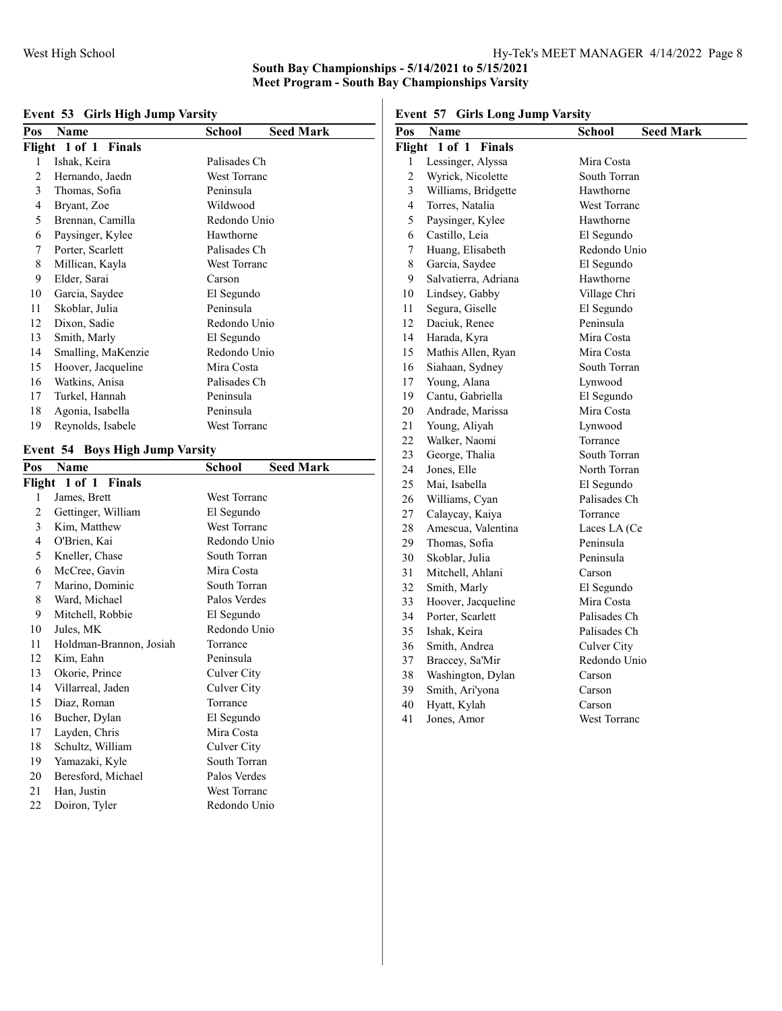## Event 53 Girls High Jump Varsity

| Pos                  | Name               | School              | <b>Seed Mark</b> |
|----------------------|--------------------|---------------------|------------------|
| Flight 1 of 1 Finals |                    |                     |                  |
| 1                    | Ishak, Keira       | Palisades Ch        |                  |
| 2                    | Hernando, Jaedn    | <b>West Torranc</b> |                  |
| 3                    | Thomas, Sofia      | Peninsula           |                  |
| 4                    | Bryant, Zoe        | Wildwood            |                  |
| 5                    | Brennan, Camilla   | Redondo Unio        |                  |
| 6                    | Paysinger, Kylee   | Hawthorne           |                  |
| 7                    | Porter, Scarlett   | Palisades Ch        |                  |
| 8                    | Millican, Kayla    | West Torranc        |                  |
| 9                    | Elder, Sarai       | Carson              |                  |
| 10                   | Garcia, Saydee     | El Segundo          |                  |
| 11                   | Skoblar, Julia     | Peninsula           |                  |
| 12                   | Dixon, Sadie       | Redondo Unio        |                  |
| 13                   | Smith, Marly       | El Segundo          |                  |
| 14                   | Smalling, MaKenzie | Redondo Unio        |                  |
| 15                   | Hoover, Jacqueline | Mira Costa          |                  |
| 16                   | Watkins, Anisa     | Palisades Ch        |                  |
| 17                   | Turkel, Hannah     | Peninsula           |                  |
| 18                   | Agonia, Isabella   | Peninsula           |                  |
| 19                   | Reynolds, Isabele  | West Torranc        |                  |

## Event 54 Boys High Jump Varsity

| Pos                  | Name                    | School              | <b>Seed Mark</b> |
|----------------------|-------------------------|---------------------|------------------|
| Flight 1 of 1 Finals |                         |                     |                  |
| 1                    | James, Brett            | <b>West Torranc</b> |                  |
| 2                    | Gettinger, William      | El Segundo          |                  |
| 3                    | Kim, Matthew            | <b>West Torranc</b> |                  |
| 4                    | O'Brien, Kai            | Redondo Unio        |                  |
| 5                    | Kneller, Chase          | South Torran        |                  |
| 6                    | McCree, Gavin           | Mira Costa          |                  |
| 7                    | Marino, Dominic         | South Torran        |                  |
| 8                    | Ward, Michael           | Palos Verdes        |                  |
| 9                    | Mitchell, Robbie        | El Segundo          |                  |
| 10                   | Jules, MK               | Redondo Unio        |                  |
| 11                   | Holdman-Brannon, Josiah | Torrance            |                  |
| 12                   | Kim, Eahn               | Peninsula           |                  |
| 13                   | Okorie, Prince          | Culver City         |                  |
| 14                   | Villarreal, Jaden       | Culver City         |                  |
| 15                   | Diaz, Roman             | Torrance            |                  |
| 16                   | Bucher, Dylan           | El Segundo          |                  |
| 17                   | Layden, Chris           | Mira Costa          |                  |
| 18                   | Schultz, William        | Culver City         |                  |
| 19                   | Yamazaki, Kyle          | South Torran        |                  |
| 20                   | Beresford, Michael      | Palos Verdes        |                  |
| 21                   | Han, Justin             | West Torranc        |                  |
| 22                   | Doiron, Tyler           | Redondo Unio        |                  |

Event 57 Girls Long Jump Varsity

| елені эт<br><b>GIFIS LONG JUMP VATSILY</b> |                      |                                   |  |
|--------------------------------------------|----------------------|-----------------------------------|--|
| Pos                                        | Name                 | <b>School</b><br><b>Seed Mark</b> |  |
|                                            | Flight 1 of 1 Finals |                                   |  |
| 1                                          | Lessinger, Alyssa    | Mira Costa                        |  |
| $\overline{c}$                             | Wyrick, Nicolette    | South Torran                      |  |
| 3                                          | Williams, Bridgette  | Hawthorne                         |  |
| 4                                          | Torres, Natalia      | West Torranc                      |  |
| 5                                          | Paysinger, Kylee     | Hawthorne                         |  |
| 6                                          | Castillo, Leia       | El Segundo                        |  |
| 7                                          | Huang, Elisabeth     | Redondo Unio                      |  |
| $\,8\,$                                    | Garcia, Saydee       | El Segundo                        |  |
| 9                                          | Salvatierra, Adriana | Hawthorne                         |  |
| 10                                         | Lindsey, Gabby       | Village Chri                      |  |
| 11                                         | Segura, Giselle      | El Segundo                        |  |
| 12                                         | Daciuk, Renee        | Peninsula                         |  |
| 14                                         | Harada, Kyra         | Mira Costa                        |  |
| 15                                         | Mathis Allen, Ryan   | Mira Costa                        |  |
| 16                                         | Siahaan, Sydney      | South Torran                      |  |
| 17                                         | Young, Alana         | Lynwood                           |  |
| 19                                         | Cantu, Gabriella     | El Segundo                        |  |
| 20                                         | Andrade, Marissa     | Mira Costa                        |  |
| 21                                         | Young, Aliyah        | Lynwood                           |  |
| 22                                         | Walker, Naomi        | Torrance                          |  |
| 23                                         | George, Thalia       | South Torran                      |  |
| 24                                         | Jones, Elle          | North Torran                      |  |
| 25                                         | Mai, Isabella        | El Segundo                        |  |
| 26                                         | Williams, Cyan       | Palisades Ch                      |  |
| 27                                         | Calaycay, Kaiya      | Torrance                          |  |
| 28                                         | Amescua, Valentina   | Laces LA (Ce                      |  |
| 29                                         | Thomas, Sofia        | Peninsula                         |  |
| 30                                         | Skoblar, Julia       | Peninsula                         |  |
| 31                                         | Mitchell, Ahlani     | Carson                            |  |
| 32                                         | Smith, Marly         | El Segundo                        |  |
| 33                                         | Hoover, Jacqueline   | Mira Costa                        |  |
| 34                                         | Porter, Scarlett     | Palisades Ch                      |  |
| 35                                         | Ishak, Keira         | Palisades Ch                      |  |
| 36                                         | Smith, Andrea        | Culver City                       |  |
| 37                                         | Braccey, Sa'Mir      | Redondo Unio                      |  |
| 38                                         | Washington, Dylan    | Carson                            |  |
| 39                                         | Smith, Ari'yona      | Carson                            |  |
| 40                                         | Hyatt, Kylah         | Carson                            |  |
| 41                                         | Jones, Amor          | <b>West Torranc</b>               |  |